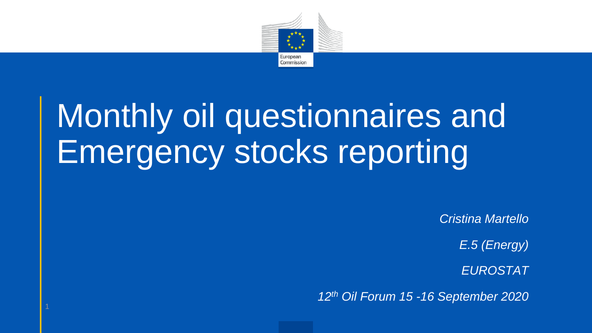

# Monthly oil questionnaires and Emergency stocks reporting

*Cristina Martello*

*E.5 (Energy)*

*EUROSTAT*

*12th Oil Forum 15 -16 September 2020*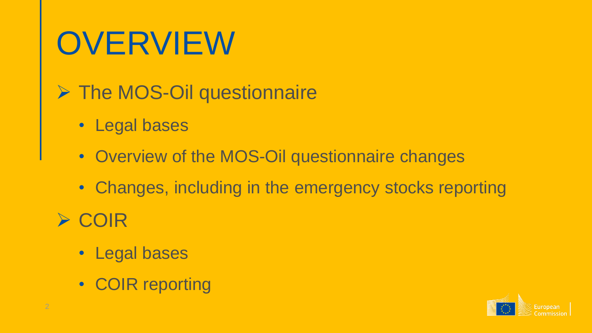# **OVERVIEW**

- **▶ The MOS-Oil questionnaire** 
	- Legal bases
	- Overview of the MOS-Oil questionnaire changes
	- Changes, including in the emergency stocks reporting
- **≻ COIR** 
	- Legal bases
	- COIR reporting

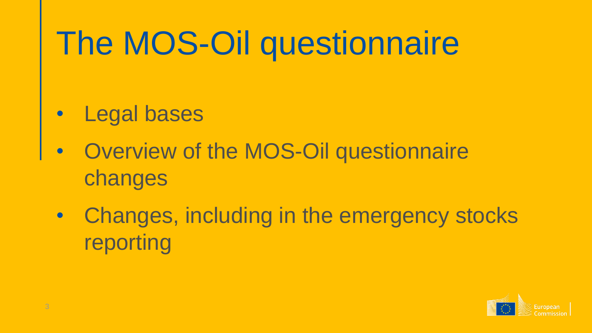# The MOS-Oil questionnaire

- Legal bases
- Overview of the MOS-Oil questionnaire changes
- Changes, including in the emergency stocks reporting

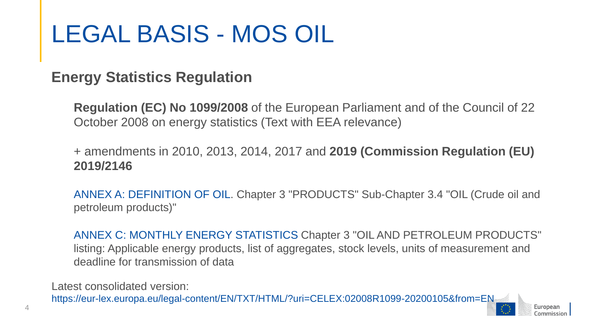### LEGAL BASIS - MOS OIL

#### **Energy Statistics Regulation**

**Regulation (EC) No 1099/2008** of the European Parliament and of the Council of 22 October 2008 on energy statistics (Text with EEA relevance)

+ amendments in 2010, 2013, 2014, 2017 and **2019 (Commission Regulation (EU) 2019/2146** 

ANNEX A: DEFINITION OF OIL. Chapter 3 "PRODUCTS" Sub-Chapter 3.4 "OIL (Crude oil and petroleum products)"

ANNEX C: MONTHLY ENERGY STATISTICS Chapter 3 "OIL AND PETROLEUM PRODUCTS" listing: Applicable energy products, list of aggregates, stock levels, units of measurement and deadline for transmission of data

Latest consolidated version:

https://eur-lex.europa.eu/legal-content/EN/TXT/HTML/?uri=CELEX:02008R1099-20200105&from=EN

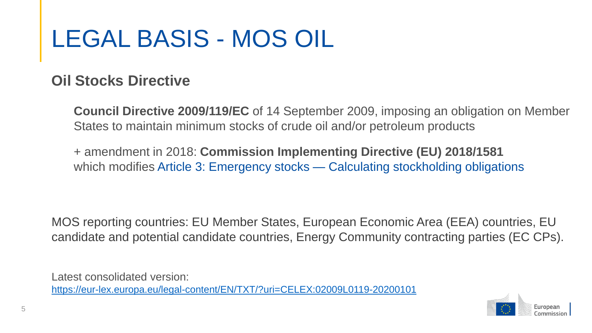### LEGAL BASIS - MOS OIL

#### **Oil Stocks Directive**

**Council Directive 2009/119/EC** of 14 September 2009, imposing an obligation on Member States to maintain minimum stocks of crude oil and/or petroleum products

+ amendment in 2018: **Commission Implementing Directive (EU) 2018/1581**  which modifies Article 3: Emergency stocks — Calculating stockholding obligations

MOS reporting countries: EU Member States, European Economic Area (EEA) countries, EU candidate and potential candidate countries, Energy Community contracting parties (EC CPs).

Latest consolidated version: <https://eur-lex.europa.eu/legal-content/EN/TXT/?uri=CELEX:02009L0119-20200101>

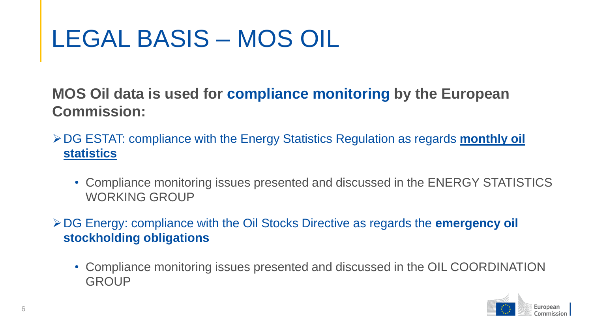### LEGAL BASIS – MOS OIL

**MOS Oil data is used for compliance monitoring by the European Commission:**

- DG ESTAT: compliance with the Energy Statistics Regulation as regards **monthly oil statistics** 
	- Compliance monitoring issues presented and discussed in the ENERGY STATISTICS WORKING GROUP
- DG Energy: compliance with the Oil Stocks Directive as regards the **emergency oil stockholding obligations**
	- Compliance monitoring issues presented and discussed in the OIL COORDINATION **GROUP**

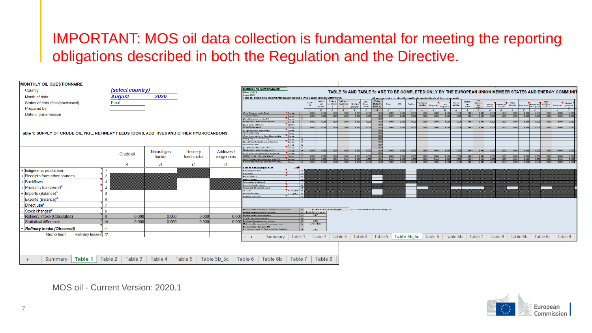#### IMPORTANT: MOS oil data collection is fundamental for meeting the reporting obligations described in both the Regulation and the Directive.

| <b>MONTHLY OIL QUESTIONNAIRE</b>                                                         |                         |             |               |             |                                                                                                                                         |                                                    |                                                                                                                                                  |                               |                                                              |                                                       |                 |                                                                                        |                           |                             |                              |                             |                                    |                                       |               |                                                                                        |                 |                                                                                                        |
|------------------------------------------------------------------------------------------|-------------------------|-------------|---------------|-------------|-----------------------------------------------------------------------------------------------------------------------------------------|----------------------------------------------------|--------------------------------------------------------------------------------------------------------------------------------------------------|-------------------------------|--------------------------------------------------------------|-------------------------------------------------------|-----------------|----------------------------------------------------------------------------------------|---------------------------|-----------------------------|------------------------------|-----------------------------|------------------------------------|---------------------------------------|---------------|----------------------------------------------------------------------------------------|-----------------|--------------------------------------------------------------------------------------------------------|
| Country                                                                                  | <i>(select country)</i> |             |               |             | <b>MONTHLY OIL QUESTIONNAIRE</b><br>(select country)                                                                                    |                                                    |                                                                                                                                                  |                               |                                                              |                                                       |                 |                                                                                        |                           |                             |                              |                             |                                    |                                       |               |                                                                                        |                 | TABLE 5b AND TABLE 5c ARE TO BE COMPLETED ONLY BY THE EUROPEAN UNION MEMBER STATES AND ENERGY COMMUNIT |
| Month of data                                                                            | August                  | 2020        |               |             | August 2020<br>Table 5b: EUROPEAN UNION EMERGENCY STOCK LEVELS under Directive 2009/119/E                                               |                                                    |                                                                                                                                                  |                               |                                                              |                                                       |                 | All opening stock levels should be equal to closing stock levels of the previous montl |                           |                             |                              |                             |                                    |                                       |               |                                                                                        |                 |                                                                                                        |
| Status of data (final/provisional)                                                       | Final                   |             |               |             |                                                                                                                                         |                                                    | Natural<br>Crude<br>gas                                                                                                                          | Refinery                      | Additives /<br>eedstook oxygenate CF which                   | <b>Total</b><br>Other<br>hydro-<br>carbons<br>[A to F | Ethane          | LPG<br>Nophtho                                                                         | atal moto                 |                             | Aviation<br>gasoline<br>Non- | Gasoline                    | kerosene                           | Bio jet<br>Non-bio jet                | Other         |                                                                                        |                 |                                                                                                        |
| Prepared by                                                                              |                         |             |               |             |                                                                                                                                         |                                                    | liquids<br>$\overline{B}$<br><b>CONTRACTOR</b>                                                                                                   | $\mathbf{s}$<br>$\mathcal{L}$ | Biolueis<br>$\sim$ $\sim$<br>$\overline{D}$<br>$\mathcal{L}$ | $ $ excl. $E$<br>$\epsilon$                           | H<br>$\sqrt{G}$ | <b>Allen</b><br>$\overline{J}$                                                         | gasoline<br>$\mathcal{K}$ | Biogazolino<br>$\mathbb{Z}$ | biogasolin<br>$A\theta$<br>N | type<br>jet fuel<br>$\circ$ | type<br>iet fuel<br>$\overline{P}$ | kerosene<br>kerosene<br>$\alpha$<br>R | kerosene<br>S | Heating and gas/diesel<br>Road diesel  <br>other gas oil<br>$\tau$<br>$\overline{\nu}$ | - P. C.         | Biodicsels gos/dicsel<br>and the state<br>$\mathcal{X}$                                                |
| Date of transmission                                                                     |                         |             |               |             | (EU-a) Emergency stocks (Total)<br>on national territory                                                                                | Opening<br>Closing                                 | 0.000<br>0.000<br>0.000<br>0.000                                                                                                                 | 0.000<br>0.000                | 0.000<br>0.000                                               | 0.000<br>0.000<br>0.000                               | 0.000<br>0.000  | 0.000<br>0.000                                                                         | 0.000<br>0.000<br>0.000   | 0.000<br>0.000              | 0.000<br>0.000<br>0.000      | 0.000<br>0.000              | 0.000                              | 0.000<br>0.000                        | 0.000         | 0.000<br>0.000                                                                         | 0.000           | 0.000<br>0.000                                                                                         |
|                                                                                          |                         |             |               |             | EU-b) Stocks held for other EU<br>Member States under official agreement                                                                | Opening S<br>losing<br>$\vert$ 4                   | 0.0001                                                                                                                                           | a noo L<br>n nool             | 0.000                                                        |                                                       |                 | 0.0001                                                                                 | 0.000                     | 0.0001                      | n oool                       | 0.0001                      | 0.0001                             | 0.0001<br>0.0001                      |               | 0.0001                                                                                 | 0.0001          | 0.000                                                                                                  |
|                                                                                          |                         |             |               |             | (EU-c) Stocks with knowr<br>oreign EU destination                                                                                       | Opening                                            | 0.000                                                                                                                                            | 0.000                         |                                                              |                                                       |                 | 0.000                                                                                  | 0.000                     | 0.000                       |                              | 0.000                       | 0.000                              | 0.000<br>0.000                        |               | 0.000<br>0.000                                                                         | 0.000           | 0.000                                                                                                  |
| Table 1: SUPPLY OF CRUDE OIL. NGL. REFINERY FEEDSTOCKS. ADDITIVES AND OTHER HYDROCARBONS |                         |             |               |             | (EU-g) Stocks held by government<br>on national territory.                                                                              | Closing<br>Opening                                 |                                                                                                                                                  |                               |                                                              |                                                       |                 |                                                                                        |                           |                             | 0.000                        |                             |                                    |                                       |               |                                                                                        |                 |                                                                                                        |
|                                                                                          |                         |             |               |             | (EU-h) Stocks held by the Central Stockholding<br>Entity (CSE) on national territory                                                    | $\text{Closing}$ $\delta$<br>اقا<br><b>Opening</b> |                                                                                                                                                  |                               |                                                              |                                                       | 0.00            |                                                                                        |                           |                             |                              |                             |                                    |                                       |               |                                                                                        |                 |                                                                                                        |
|                                                                                          |                         |             |               |             | (EU-ie) Stocks held by Economic Operator:<br>on notional territory                                                                      | looing   10<br>Opening //                          |                                                                                                                                                  |                               |                                                              |                                                       |                 |                                                                                        |                           |                             |                              |                             |                                    |                                       |               |                                                                                        |                 |                                                                                                        |
|                                                                                          |                         |             |               |             | (U-j) Stocks held abroad in other EU.                                                                                                   | 10<br>losing<br>Opening                            | $\mathbf{z}$                                                                                                                                     |                               |                                                              |                                                       |                 |                                                                                        |                           |                             |                              |                             |                                    |                                       |               |                                                                                        |                 |                                                                                                        |
|                                                                                          | Crude oil               | Natural gas | Refinery      | Additives   | flember States under offical agreement<br>EU-k) Stocks held abroad in EU, designated                                                    | paisol<br>$\frac{1}{\pi}$<br>Dpening               | 0.0001<br>114                                                                                                                                    |                               |                                                              |                                                       |                 |                                                                                        |                           |                             |                              |                             |                                    |                                       |               |                                                                                        |                 |                                                                                                        |
|                                                                                          |                         | liquids     | feedstocks    | oxygenates  | finitely for import into your country<br>EU-1) Total Emergency Stocks held by the MS<br>in accordance with the EU Directive 2006/113/EC | <b>Dation</b><br><b>Dening</b>                     | $\overline{\phantom{a}}$<br>0.0001<br>0.0001<br>0.0001<br>0.000                                                                                  | 0.0001<br>n nnn l             | 0.000                                                        | 0.000<br>0.000<br>n nnn                               | 0.000<br>0.000  | 0.0001<br>0.0001                                                                       | 0,000<br>0.000            | 0.000<br>0.000              | 0.0001<br>0.000              | 0.0001<br>0.000             | 0.0001<br>0.000                    | 0.0001<br>0.0001<br>0.0001<br>0.000   |               | n nool<br>0.0001<br>0.000<br>0.000                                                     | 0.0001<br>0.000 | 0.000<br>0.0001                                                                                        |
|                                                                                          |                         | B           | $\mathcal{C}$ | D           |                                                                                                                                         |                                                    |                                                                                                                                                  |                               |                                                              |                                                       |                 |                                                                                        |                           |                             |                              |                             |                                    |                                       |               |                                                                                        |                 |                                                                                                        |
| + Indigenous production                                                                  |                         |             |               |             | Sum of monthly figures for<br>Refinery gross outp                                                                                       | 2019                                               |                                                                                                                                                  |                               |                                                              |                                                       |                 |                                                                                        |                           |                             |                              |                             |                                    |                                       |               |                                                                                        |                 |                                                                                                        |
| + Receipts from other sources<br>$\overline{2}$                                          |                         |             |               |             | lefinery fuel<br>mports (Balance)                                                                                                       |                                                    | 2t                                                                                                                                               |                               |                                                              |                                                       |                 |                                                                                        |                           |                             |                              |                             |                                    |                                       |               |                                                                                        |                 |                                                                                                        |
| + Backflows <sup>1</sup><br>$\mathcal{R}$                                                |                         |             |               |             | Exports (Balance)<br>Refinery intake (Calculated)                                                                                       |                                                    | 2s                                                                                                                                               |                               |                                                              |                                                       |                 |                                                                                        |                           |                             |                              |                             |                                    |                                       |               |                                                                                        |                 |                                                                                                        |
| + Products transferred <sup>2</sup>                                                      |                         |             |               |             | International marine bunker<br>Gross inland deliveries (Observed)                                                                       |                                                    | -24                                                                                                                                              |                               |                                                              |                                                       |                 |                                                                                        |                           |                             |                              |                             |                                    |                                       |               |                                                                                        |                 |                                                                                                        |
| ⊦ Imports (Balance) <sup>3</sup><br>$5^{\circ}$                                          |                         |             |               |             | All stocks<br>on national territory                                                                                                     | Opening JAN 36<br>Closing DEC 27                   |                                                                                                                                                  |                               |                                                              |                                                       |                 |                                                                                        |                           |                             |                              |                             |                                    |                                       |               |                                                                                        |                 |                                                                                                        |
| Exports (Balance) <sup>4</sup><br>6                                                      |                         |             |               |             | Backflows to refineri                                                                                                                   |                                                    |                                                                                                                                                  |                               |                                                              |                                                       |                 |                                                                                        |                           |                             |                              |                             |                                    |                                       |               |                                                                                        |                 |                                                                                                        |
| Direct use <sup>5</sup>                                                                  |                         |             |               |             |                                                                                                                                         |                                                    |                                                                                                                                                  |                               |                                                              |                                                       |                 |                                                                                        |                           |                             |                              |                             |                                    |                                       |               |                                                                                        |                 |                                                                                                        |
| Stock changes <sup>6</sup>                                                               |                         |             |               |             | Method used for calculating the deduction for naphtha yield<br>finimum stock level calculated based on:                                 |                                                    | 39 4% default value for naphtha gield<br>50 Inland Consumption                                                                                   |                               |                                                              | NOTE: This variable is valid from January 2020        |                 |                                                                                        |                           |                             |                              |                             |                                    |                                       |               |                                                                                        |                 |                                                                                                        |
| Refinery intake (Calculated)<br>$\mathbf{g}$                                             | 0.000                   | 0.000       | 0.000         | 0.000       | linimum stock level for compliance<br>laily Net Imports for compliance                                                                  |                                                    | $\mathcal{M}$<br>0.000<br> se                                                                                                                    |                               |                                                              |                                                       |                 |                                                                                        |                           |                             |                              |                             |                                    |                                       |               |                                                                                        |                 |                                                                                                        |
| 10 <sup>10</sup><br>Statistical difference                                               | 0.000                   | 0.000       | 0.000         | 0.000       | Daily Inland Consumption for compliance<br>Method used for calculating the emergency stocks                                             |                                                    | ss <br>0.000<br>Annex III (b)<br>$\sim$                                                                                                          |                               |                                                              |                                                       |                 |                                                                                        |                           |                             |                              |                             |                                    |                                       |               |                                                                                        |                 |                                                                                                        |
| <b>Refinery intake (Observed)</b><br>11                                                  |                         |             |               |             | Emergency Stocks held by the MS<br>in accordance with the EU Directive (in Days Equivalent)                                             |                                                    | 0.000                                                                                                                                            |                               |                                                              |                                                       |                 |                                                                                        |                           |                             |                              |                             |                                    |                                       |               |                                                                                        |                 |                                                                                                        |
| Refinery losses 12<br>Memo Item:                                                         |                         |             |               |             |                                                                                                                                         |                                                    | Summary   Table 1   Table 2   Table 3   Table 4   Table 5   Table 5b_5c   Table 6   Table 6b   Table 7   Table 8   Table 8b   Table 8c   Table 9 |                               |                                                              |                                                       |                 |                                                                                        |                           |                             |                              |                             |                                    |                                       |               |                                                                                        |                 |                                                                                                        |
|                                                                                          |                         |             |               |             |                                                                                                                                         |                                                    |                                                                                                                                                  |                               |                                                              |                                                       |                 |                                                                                        |                           |                             |                              |                             |                                    |                                       |               |                                                                                        |                 |                                                                                                        |
|                                                                                          |                         |             |               |             |                                                                                                                                         |                                                    |                                                                                                                                                  |                               |                                                              |                                                       |                 |                                                                                        |                           |                             |                              |                             |                                    |                                       |               |                                                                                        |                 |                                                                                                        |
|                                                                                          |                         |             |               |             |                                                                                                                                         |                                                    |                                                                                                                                                  |                               |                                                              |                                                       |                 |                                                                                        |                           |                             |                              |                             |                                    |                                       |               |                                                                                        |                 |                                                                                                        |
| Summary   Table 1   Table 2   Table 3   Table 4   Table 5                                |                         |             |               | Table 5b_5c | Table 6<br>$\parallel$ Table 6b                                                                                                         | Table 7                                            | Table 8                                                                                                                                          |                               |                                                              |                                                       |                 |                                                                                        |                           |                             |                              |                             |                                    |                                       |               |                                                                                        |                 |                                                                                                        |
|                                                                                          |                         |             |               |             |                                                                                                                                         |                                                    |                                                                                                                                                  |                               |                                                              |                                                       |                 |                                                                                        |                           |                             |                              |                             |                                    |                                       |               |                                                                                        |                 |                                                                                                        |

European Commission

MOS oil - Current Version: 2020.1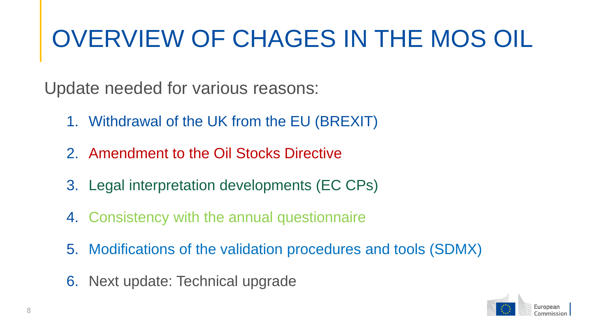## OVERVIEW OF CHAGES IN THE MOS OIL

Update needed for various reasons:

- 1. Withdrawal of the UK from the EU (BREXIT)
- 2. Amendment to the Oil Stocks Directive
- 3. Legal interpretation developments (EC CPs)
- 4. Consistency with the annual questionnaire
- 5. Modifications of the validation procedures and tools (SDMX)
- 6. Next update: Technical upgrade

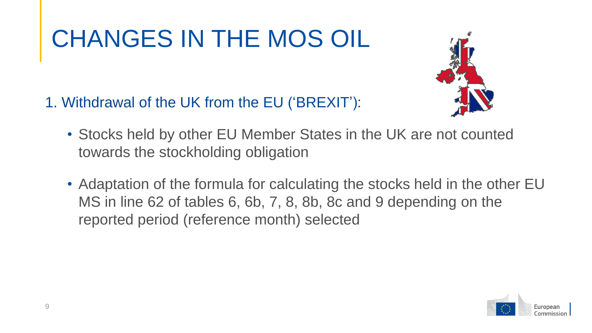

- 1. Withdrawal of the UK from the EU ('BREXIT'):
	- Stocks held by other EU Member States in the UK are not counted towards the stockholding obligation
	- Adaptation of the formula for calculating the stocks held in the other EU MS in line 62 of tables 6, 6b, 7, 8, 8b, 8c and 9 depending on the reported period (reference month) selected

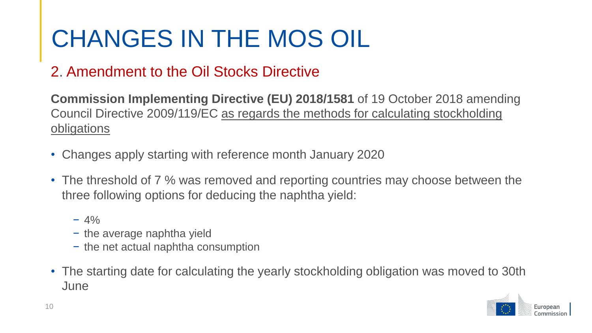#### 2. Amendment to the Oil Stocks Directive

**Commission Implementing Directive (EU) 2018/1581** of 19 October 2018 amending Council Directive 2009/119/EC as regards the methods for calculating stockholding obligations

- Changes apply starting with reference month January 2020
- The threshold of 7 % was removed and reporting countries may choose between the three following options for deducing the naphtha yield:
	- $-4\%$
	- − the average naphtha yield
	- − the net actual naphtha consumption
- The starting date for calculating the yearly stockholding obligation was moved to 30th **June**

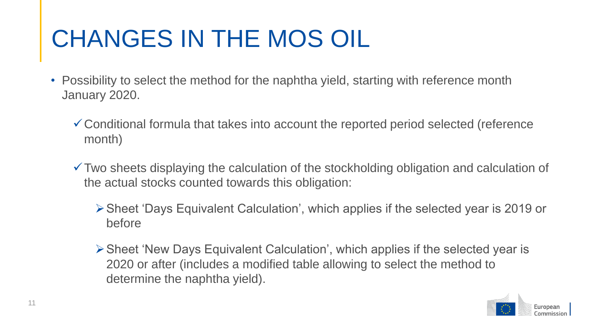- Possibility to select the method for the naphtha yield, starting with reference month January 2020.
	- Conditional formula that takes into account the reported period selected (reference month)
	- Two sheets displaying the calculation of the stockholding obligation and calculation of the actual stocks counted towards this obligation:
		- Sheet 'Days Equivalent Calculation', which applies if the selected year is 2019 or before
		- Sheet 'New Days Equivalent Calculation', which applies if the selected year is 2020 or after (includes a modified table allowing to select the method to determine the naphtha yield).

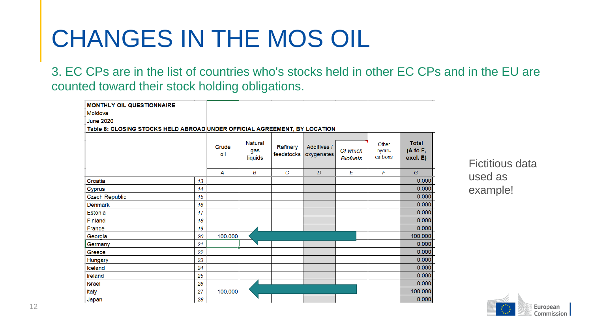3. EC CPs are in the list of countries who's stocks held in other EC CPs and in the EU are counted toward their stock holding obligations.

| <b>MONTHLY OIL QUESTIONNAIRE</b><br>Moldova<br><b>June 2020</b><br>Table 8: CLOSING STOCKS HELD ABROAD UNDER OFFICIAL AGREEMENT, BY LOCATION |    |              |                           |                        |                           |                             |                            |                                      |
|----------------------------------------------------------------------------------------------------------------------------------------------|----|--------------|---------------------------|------------------------|---------------------------|-----------------------------|----------------------------|--------------------------------------|
|                                                                                                                                              |    | Crude<br>oil | Natural<br>gas<br>liquids | Refinery<br>feedstocks | Additives /<br>oxygenates | Of which<br><b>Biofuels</b> | Other<br>hydro-<br>carbons | <b>Total</b><br>(A to F,<br>excl. E) |
|                                                                                                                                              |    | A            | B                         | $\mathbf C$            | $\overline{D}$            | E                           | F                          | G                                    |
| Croatia                                                                                                                                      | 13 |              |                           |                        |                           |                             |                            | 0.000                                |
| <b>Cyprus</b>                                                                                                                                | 14 |              |                           |                        |                           |                             |                            | 0.000                                |
| <b>Czech Republic</b>                                                                                                                        | 15 |              |                           |                        |                           |                             |                            | 0.000                                |
| <b>Denmark</b>                                                                                                                               | 16 |              |                           |                        |                           |                             |                            | 0.000                                |
| Estonia                                                                                                                                      | 17 |              |                           |                        |                           |                             |                            | 0.000                                |
| Finland                                                                                                                                      | 18 |              |                           |                        |                           |                             |                            | 0.000                                |
| France                                                                                                                                       | 19 |              |                           |                        |                           |                             |                            | 0.000                                |
| Georgia                                                                                                                                      | 20 | 100.000      |                           |                        |                           |                             |                            | 100.000                              |
| Germany                                                                                                                                      | 21 |              |                           |                        |                           |                             |                            | 0.000                                |
| Greece                                                                                                                                       | 22 |              |                           |                        |                           |                             |                            | 0.000                                |
| Hungary                                                                                                                                      | 23 |              |                           |                        |                           |                             |                            | 0.000                                |
| Iceland                                                                                                                                      | 24 |              |                           |                        |                           |                             |                            | 0.000                                |
| Ireland                                                                                                                                      | 25 |              |                           |                        |                           |                             |                            | 0.000                                |
| <b>Israel</b>                                                                                                                                | 26 |              |                           |                        |                           |                             |                            | 0.000                                |
| <b>Italy</b>                                                                                                                                 | 27 | 100.000      |                           |                        |                           |                             |                            | 100.000                              |
| Japan                                                                                                                                        | 28 |              |                           |                        |                           |                             |                            | 0.000                                |

Fictitious data used as example!

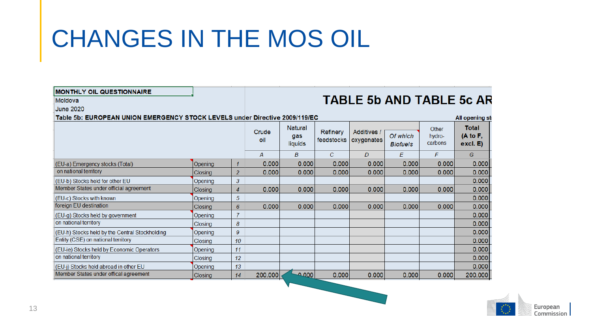| <b>MONTHLY OIL QUESTIONNAIRE</b>                                            |                |                  |                |                |                        |                                  |                             |                   |                                 |  |  |
|-----------------------------------------------------------------------------|----------------|------------------|----------------|----------------|------------------------|----------------------------------|-----------------------------|-------------------|---------------------------------|--|--|
| Moldova                                                                     |                |                  |                |                |                        |                                  |                             |                   | <b>TABLE 5b AND TABLE 5c AR</b> |  |  |
| <b>June 2020</b>                                                            |                |                  |                |                |                        |                                  |                             |                   |                                 |  |  |
| Table 5b: EUROPEAN UNION EMERGENCY STOCK LEVELS under Directive 2009/119/EC | All opening st |                  |                |                |                        |                                  |                             |                   |                                 |  |  |
|                                                                             |                | <b>Natural</b>   |                |                |                        | Other                            | <b>Total</b>                |                   |                                 |  |  |
|                                                                             |                |                  | Crude<br>oil   | gas<br>liquids | Refinery<br>feedstocks | <b>Additives /</b><br>oxygenates | Of which<br><b>Biofuels</b> | hydro-<br>carbons | (A to F,<br>excl. E)            |  |  |
|                                                                             |                |                  | $\overline{A}$ | B              | $\overline{C}$         | D                                | E                           | F                 | G                               |  |  |
| (EU-a) Emergency stocks (Total)                                             | Opening        | 1                | 0.000          | 0.000          | 0.000                  | 0.000                            | 0.000                       | 0.000             | 0.000                           |  |  |
| on national territory                                                       | Closing        | 2                | 0.000          | 0.000          | 0.000                  | 0.000                            | 0.000                       | 0.000             | 0.000                           |  |  |
| (EU-b) Stocks held for other EU                                             | Opening        | 3                |                |                |                        |                                  |                             |                   | 0.000                           |  |  |
| Member States under official agreement                                      | <b>Closing</b> | $\overline{4}$   | 0.000          | 0.000          | 0.000                  | 0.000                            | 0.000                       | 0.000             | 0.000                           |  |  |
| (EU-c) Stocks with known                                                    | Opening        | 5                |                |                |                        |                                  |                             |                   | 0.000                           |  |  |
| foreign EU destination                                                      | Closing        | 6                | 0.000          | 0.000          | 0.000                  | 0.000                            | 0.000                       | 0.000             | 0.000                           |  |  |
| (EU-g) Stocks held by government                                            | Opening        | $\overline{7}$   |                |                |                        |                                  |                             |                   | 0.000                           |  |  |
| on national territory                                                       | Closing        | 8                |                |                |                        |                                  |                             |                   | 0.000                           |  |  |
| (EU-h) Stocks held by the Central Stockholding                              | Opening        | $\boldsymbol{9}$ |                |                |                        |                                  |                             |                   | 0.000                           |  |  |
| Entity (CSE) on national territory                                          | Closing        | 10               |                |                |                        |                                  |                             |                   | 0.000                           |  |  |
| (EU-ie) Stocks held by Economic Operators                                   | Opening        | 11               |                |                |                        |                                  |                             |                   | 0.000                           |  |  |
| on national territory                                                       | Closing        | 12               |                |                |                        |                                  |                             |                   | 0.000                           |  |  |
| (EU-j) Stocks held abroad in other EU                                       | Opening        | 13               |                |                |                        |                                  |                             |                   | 0.000                           |  |  |
| Member States under offical agreement                                       | Closing        | 14               | 200.000        | $000 -$        | 0.000                  | 0.000                            | 0.000                       | 0.000             | 200.000                         |  |  |
|                                                                             |                |                  |                |                |                        |                                  |                             |                   |                                 |  |  |

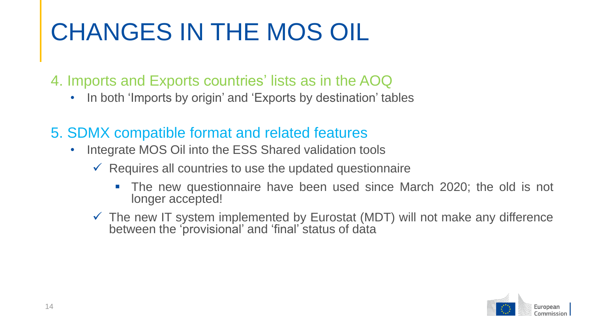4. Imports and Exports countries' lists as in the AOQ

- In both 'Imports by origin' and 'Exports by destination' tables
- 5. SDMX compatible format and related features
	- Integrate MOS Oil into the ESS Shared validation tools
		- $\checkmark$  Requires all countries to use the updated questionnaire
			- The new questionnaire have been used since March 2020; the old is not longer accepted!
		- $\checkmark$  The new IT system implemented by Eurostat (MDT) will not make any difference between the 'provisional' and 'final' status of data

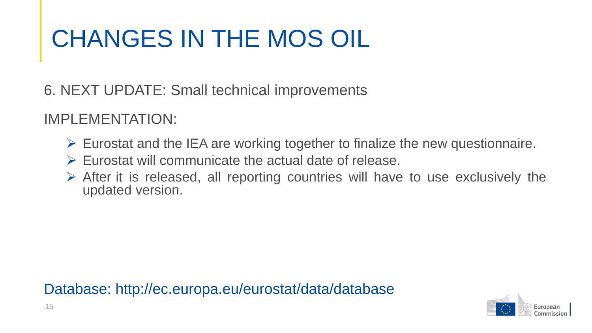6. NEXT UPDATE: Small technical improvements

IMPLEMENTATION:

- $\triangleright$  Eurostat and the IEA are working together to finalize the new questionnaire.
- $\triangleright$  Eurostat will communicate the actual date of release.
- $\triangleright$  After it is released, all reporting countries will have to use exclusively the updated version.

Database: http://ec.europa.eu/eurostat/data/database

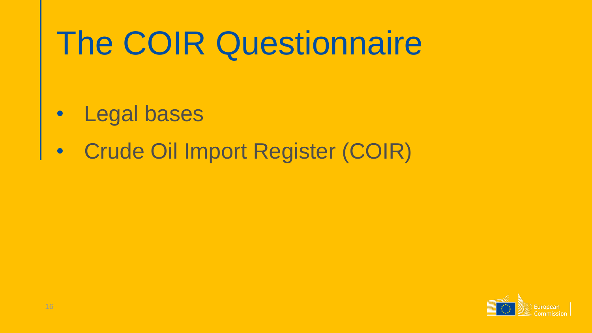# The COIR Questionnaire

- Legal bases
- Crude Oil Import Register (COIR)

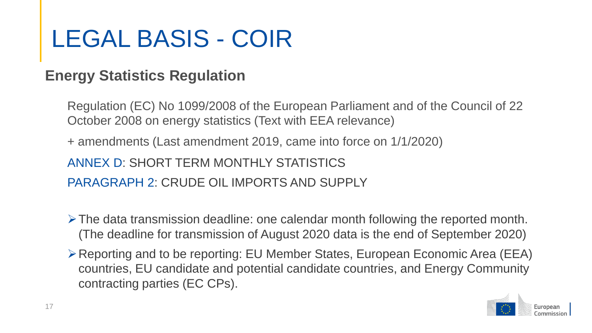## LEGAL BASIS - COIR

#### **Energy Statistics Regulation**

Regulation (EC) No 1099/2008 of the European Parliament and of the Council of 22 October 2008 on energy statistics (Text with EEA relevance)

+ amendments (Last amendment 2019, came into force on 1/1/2020)

ANNEX D: SHORT TERM MONTHLY STATISTICS

PARAGRAPH 2: CRUDE OIL IMPORTS AND SUPPLY

- $\triangleright$  The data transmission deadline: one calendar month following the reported month. (The deadline for transmission of August 2020 data is the end of September 2020)
- Reporting and to be reporting: EU Member States, European Economic Area (EEA) countries, EU candidate and potential candidate countries, and Energy Community contracting parties (EC CPs).

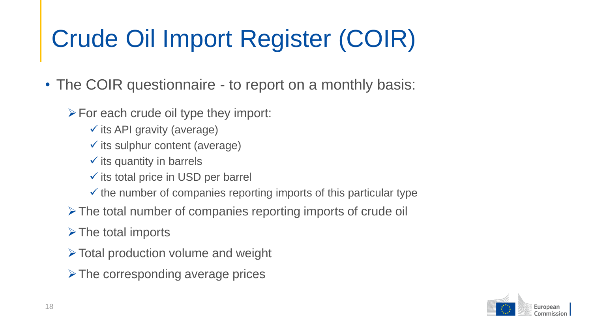# Crude Oil Import Register (COIR)

• The COIR questionnaire - to report on a monthly basis:

- $\triangleright$  For each crude oil type they import:
	- $\checkmark$  its API gravity (average)
	- $\checkmark$  its sulphur content (average)
	- $\checkmark$  its quantity in barrels
	- $\checkmark$  its total price in USD per barrel
	- $\checkmark$  the number of companies reporting imports of this particular type
- $\triangleright$  The total number of companies reporting imports of crude oil
- $\triangleright$  The total imports
- $\triangleright$  Total production volume and weight
- $\triangleright$  The corresponding average prices

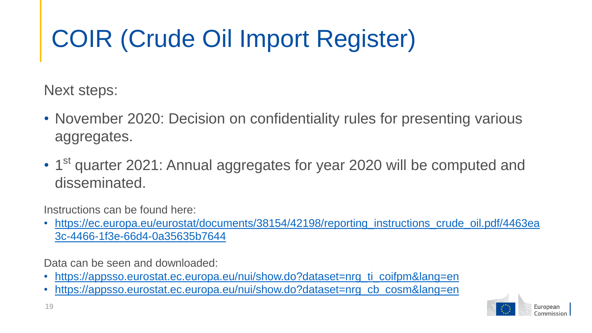# COIR (Crude Oil Import Register)

Next steps:

- November 2020: Decision on confidentiality rules for presenting various aggregates.
- 1<sup>st</sup> quarter 2021: Annual aggregates for year 2020 will be computed and disseminated.

Instructions can be found here:

• [https://ec.europa.eu/eurostat/documents/38154/42198/reporting\\_instructions\\_crude\\_oil.pdf/4463ea](https://ec.europa.eu/eurostat/documents/38154/42198/reporting_instructions_crude_oil.pdf/4463ea3c-4466-1f3e-66d4-0a35635b7644) 3c-4466-1f3e-66d4-0a35635b7644

Data can be seen and downloaded:

- [https://appsso.eurostat.ec.europa.eu/nui/show.do?dataset=nrg\\_ti\\_coifpm&lang=en](https://appsso.eurostat.ec.europa.eu/nui/show.do?dataset=nrg_ti_coifpm&lang=en)
- [https://appsso.eurostat.ec.europa.eu/nui/show.do?dataset=nrg\\_cb\\_cosm&lang=en](https://appsso.eurostat.ec.europa.eu/nui/show.do?dataset=nrg_cb_cosm&lang=en)